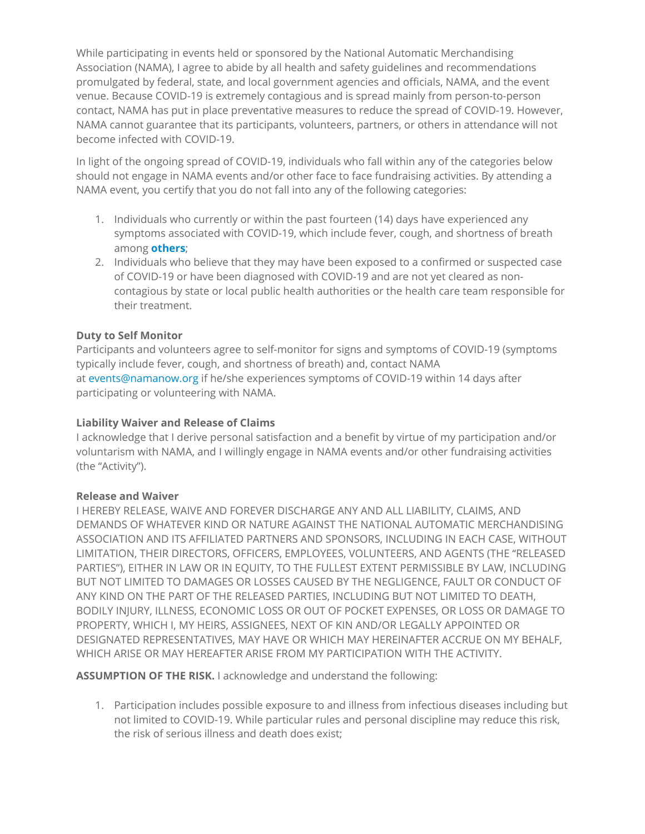While participating in events held or sponsored by the National Automatic Merchandising Association (NAMA), I agree to abide by all health and safety guidelines and recommendations promulgated by federal, state, and local government agencies and officials, NAMA, and the event venue. Because COVID-19 is extremely contagious and is spread mainly from person-to-person contact, NAMA has put in place preventative measures to reduce the spread of COVID-19. However, NAMA cannot guarantee that its participants, volunteers, partners, or others in attendance will not become infected with COVID-19.

In light of the ongoing spread of COVID-19, individuals who fall within any of the categories below should not engage in NAMA events and/or other face to face fundraising activities. By attending a NAMA event, you certify that you do not fall into any of the following categories:

- 1. Individuals who currently or within the past fourteen (14) days have experienced any symptoms associated with COVID-19, which include fever, cough, and shortness of breath among **others**;
- 2. Individuals who believe that they may have been exposed to a confirmed or suspected case of COVID-19 or have been diagnosed with COVID-19 and are not yet cleared as noncontagious by state or local public health authorities or the health care team responsible for their treatment.

## **Duty to Self Monitor**

Participants and volunteers agree to self-monitor for signs and symptoms of COVID-19 (symptoms typically include fever, cough, and shortness of breath) and, contact NAMA at events@namanow.org if he/she experiences symptoms of COVID-19 within 14 days after participating or volunteering with NAMA.

## **Liability Waiver and Release of Claims**

I acknowledge that I derive personal satisfaction and a benefit by virtue of my participation and/or voluntarism with NAMA, and I willingly engage in NAMA events and/or other fundraising activities (the "Activity").

## **Release and Waiver**

I HEREBY RELEASE, WAIVE AND FOREVER DISCHARGE ANY AND ALL LIABILITY, CLAIMS, AND DEMANDS OF WHATEVER KIND OR NATURE AGAINST THE NATIONAL AUTOMATIC MERCHANDISING ASSOCIATION AND ITS AFFILIATED PARTNERS AND SPONSORS, INCLUDING IN EACH CASE, WITHOUT LIMITATION, THEIR DIRECTORS, OFFICERS, EMPLOYEES, VOLUNTEERS, AND AGENTS (THE "RELEASED PARTIES"), EITHER IN LAW OR IN EQUITY, TO THE FULLEST EXTENT PERMISSIBLE BY LAW, INCLUDING BUT NOT LIMITED TO DAMAGES OR LOSSES CAUSED BY THE NEGLIGENCE, FAULT OR CONDUCT OF ANY KIND ON THE PART OF THE RELEASED PARTIES, INCLUDING BUT NOT LIMITED TO DEATH, BODILY INJURY, ILLNESS, ECONOMIC LOSS OR OUT OF POCKET EXPENSES, OR LOSS OR DAMAGE TO PROPERTY, WHICH I, MY HEIRS, ASSIGNEES, NEXT OF KIN AND/OR LEGALLY APPOINTED OR DESIGNATED REPRESENTATIVES, MAY HAVE OR WHICH MAY HEREINAFTER ACCRUE ON MY BEHALF, WHICH ARISE OR MAY HEREAFTER ARISE FROM MY PARTICIPATION WITH THE ACTIVITY.

**ASSUMPTION OF THE RISK.** I acknowledge and understand the following:

1. Participation includes possible exposure to and illness from infectious diseases including but not limited to COVID-19. While particular rules and personal discipline may reduce this risk, the risk of serious illness and death does exist;